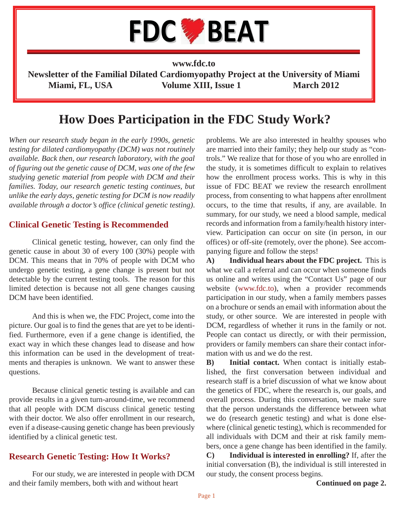

**www.fdc.to**

**Newsletter of the Familial Dilated Cardiomyopathy Project at the University of Miami** Miami, FL, USA Volume XIII, Issue 1 March 2012

# **How Does Participation in the FDC Study Work?**

*When our research study began in the early 1990s, genetic testing for dilated cardiomyopathy (DCM) was not routinely available. Back then, our research laboratory, with the goal of figuring out the genetic cause of DCM, was one of the few studying genetic material from people with DCM and their families. Today, our research genetic testing continues, but unlike the early days, genetic testing for DCM is now readily available through a doctor's office (clinical genetic testing)*.

#### **Clinical Genetic Testing is Recommended**

 Clinical genetic testing, however, can only find the genetic cause in about 30 of every 100 (30%) people with DCM. This means that in 70% of people with DCM who undergo genetic testing, a gene change is present but not detectable by the current testing tools. The reason for this limited detection is because not all gene changes causing DCM have been identified.

 And this is when we, the FDC Project, come into the picture. Our goal is to find the genes that are yet to be identified. Furthermore, even if a gene change is identified, the exact way in which these changes lead to disease and how this information can be used in the development of treatments and therapies is unknown. We want to answer these questions.

 Because clinical genetic testing is available and can provide results in a given turn-around-time, we recommend that all people with DCM discuss clinical genetic testing with their doctor. We also offer enrollment in our research, even if a disease-causing genetic change has been previously identified by a clinical genetic test.

### **Research Genetic Testing: How It Works?**

 For our study, we are interested in people with DCM and their family members, both with and without heart

problems. We are also interested in healthy spouses who are married into their family; they help our study as "controls." We realize that for those of you who are enrolled in the study, it is sometimes difficult to explain to relatives how the enrollment process works. This is why in this issue of FDC BEAT we review the research enrollment process, from consenting to what happens after enrollment occurs, to the time that results, if any, are available. In summary, for our study, we need a blood sample, medical records and information from a family/health history interview. Participation can occur on site (in person, in our offices) or off-site (remotely, over the phone). See accompanying figure and follow the steps!

**A) Individual hears about the FDC project.** This is what we call a referral and can occur when someone finds us online and writes using the "Contact Us" page of our website (www.fdc.to), when a provider recommends participation in our study, when a family members passes on a brochure or sends an email with information about the study, or other source. We are interested in people with DCM, regardless of whether it runs in the family or not. People can contact us directly, or with their permission, providers or family members can share their contact information with us and we do the rest.

**B) Initial contact.** When contact is initially established, the first conversation between individual and research staff is a brief discussion of what we know about the genetics of FDC, where the research is, our goals, and overall process. During this conversation, we make sure that the person understands the difference between what we do (research genetic testing) and what is done elsewhere (clinical genetic testing), which is recommended for all individuals with DCM and their at risk family members, once a gene change has been identified in the family. **C) Individual is interested in enrolling?** If, after the

initial conversation (B), the individual is still interested in our study, the consent process begins.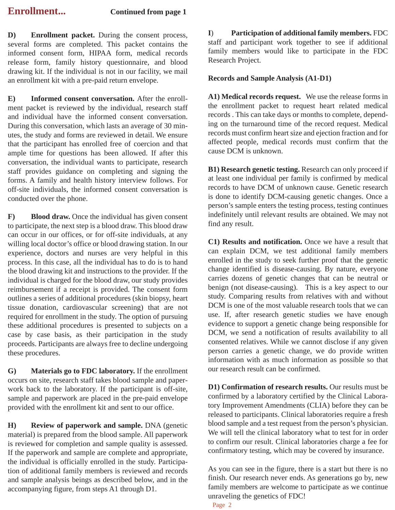**D) Enrollment packet.** During the consent process, several forms are completed. This packet contains the informed consent form, HIPAA form, medical records release form, family history questionnaire, and blood drawing kit. If the individual is not in our facility, we mail an enrollment kit with a pre-paid return envelope.

**E) Informed consent conversation.** After the enrollment packet is reviewed by the individual, research staff and individual have the informed consent conversation. During this conversation, which lasts an average of 30 minutes, the study and forms are reviewed in detail. We ensure that the participant has enrolled free of coercion and that ample time for questions has been allowed. If after this conversation, the individual wants to participate, research staff provides guidance on completing and signing the forms. A family and health history interview follows. For off-site individuals, the informed consent conversation is conducted over the phone.

**F)** Blood draw. Once the individual has given consent to participate, the next step is a blood draw. This blood draw can occur in our offices, or for off-site individuals, at any willing local doctor's office or blood drawing station. In our experience, doctors and nurses are very helpful in this process. In this case, all the individual has to do is to hand the blood drawing kit and instructions to the provider. If the individual is charged for the blood draw, our study provides reimbursement if a receipt is provided. The consent form outlines a series of additional procedures (skin biopsy, heart tissue donation, cardiovascular screening) that are not required for enrollment in the study. The option of pursuing these additional procedures is presented to subjects on a case by case basis, as their participation in the study proceeds. Participants are always free to decline undergoing these procedures.

**G) Materials go to FDC laboratory.** If the enrollment occurs on site, research staff takes blood sample and paperwork back to the laboratory. If the participant is off-site, sample and paperwork are placed in the pre-paid envelope provided with the enrollment kit and sent to our office.

**H) Review of paperwork and sample.** DNA (genetic material) is prepared from the blood sample. All paperwork is reviewed for completion and sample quality is assessed. If the paperwork and sample are complete and appropriate, the individual is officially enrolled in the study. Participation of additional family members is reviewed and records and sample analysis beings as described below, and in the accompanying figure, from steps A1 through D1.

**I**) **Participation of additional family members.** FDC staff and participant work together to see if additional family members would like to participate in the FDC Research Project.

#### **Records and Sample Analysis (A1-D1)**

**A1) Medical records request.** We use the release forms in the enrollment packet to request heart related medical records . This can take days or months to complete, depending on the turnaround time of the record request. Medical records must confirm heart size and ejection fraction and for affected people, medical records must confirm that the cause DCM is unknown.

**B1) Research genetic testing.** Research can only proceed if at least one individual per family is confirmed by medical records to have DCM of unknown cause. Genetic research is done to identify DCM-causing genetic changes. Once a person's sample enters the testing process, testing continues indefinitely until relevant results are obtained. We may not find any result.

**C1) Results and notification.** Once we have a result that can explain DCM, we test additional family members enrolled in the study to seek further proof that the genetic change identified is disease-causing. By nature, everyone carries dozens of genetic changes that can be neutral or benign (not disease-causing). This is a key aspect to our study. Comparing results from relatives with and without DCM is one of the most valuable research tools that we can use. If, after research genetic studies we have enough evidence to support a genetic change being responsible for DCM, we send a notification of results availability to all consented relatives. While we cannot disclose if any given person carries a genetic change, we do provide written information with as much information as possible so that our research result can be confirmed.

**D1) Confirmation of research results.** Our results must be confirmed by a laboratory certified by the Clinical Laboratory Improvement Amendments (CLIA) before they can be released to participants. Clinical laboratories require a fresh blood sample and a test request from the person's physician. We will tell the clinical laboratory what to test for in order to confirm our result. Clinical laboratories charge a fee for confirmatory testing, which may be covered by insurance.

As you can see in the figure, there is a start but there is no finish. Our research never ends. As generations go by, new family members are welcome to participate as we continue unraveling the genetics of FDC!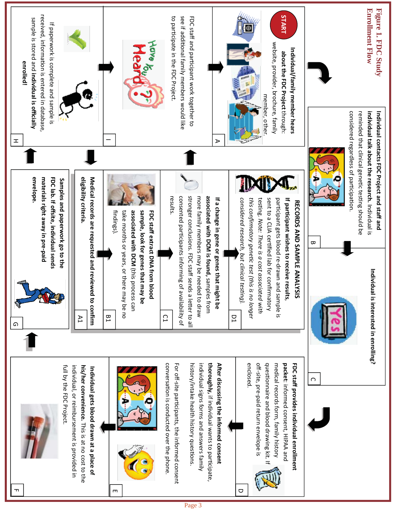